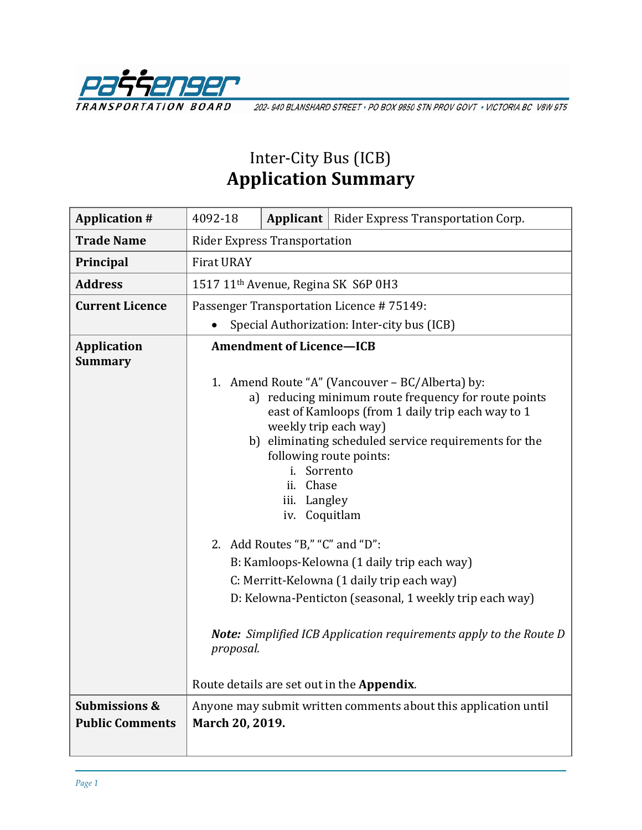

202-940 BLANSHARD STREET · PO BOX 9850 STN PROV GOVT · VICTORIA BC V8W 9T5

## Inter-City Bus (ICB) **Application Summary**

| <b>Application #</b>                               | 4092-18                                                                                                                                                                                                                                                                                                                                                                                                                                                                                                                                                                                                                                                                                                      |  | <b>Applicant</b>   Rider Express Transportation Corp.           |
|----------------------------------------------------|--------------------------------------------------------------------------------------------------------------------------------------------------------------------------------------------------------------------------------------------------------------------------------------------------------------------------------------------------------------------------------------------------------------------------------------------------------------------------------------------------------------------------------------------------------------------------------------------------------------------------------------------------------------------------------------------------------------|--|-----------------------------------------------------------------|
| <b>Trade Name</b>                                  | <b>Rider Express Transportation</b>                                                                                                                                                                                                                                                                                                                                                                                                                                                                                                                                                                                                                                                                          |  |                                                                 |
| Principal                                          | <b>Firat URAY</b>                                                                                                                                                                                                                                                                                                                                                                                                                                                                                                                                                                                                                                                                                            |  |                                                                 |
| <b>Address</b>                                     | 1517 11 <sup>th</sup> Avenue, Regina SK S6P 0H3                                                                                                                                                                                                                                                                                                                                                                                                                                                                                                                                                                                                                                                              |  |                                                                 |
| <b>Current Licence</b>                             | Passenger Transportation Licence #75149:                                                                                                                                                                                                                                                                                                                                                                                                                                                                                                                                                                                                                                                                     |  |                                                                 |
|                                                    | Special Authorization: Inter-city bus (ICB)                                                                                                                                                                                                                                                                                                                                                                                                                                                                                                                                                                                                                                                                  |  |                                                                 |
| <b>Application</b><br><b>Summary</b>               | <b>Amendment of Licence-ICB</b><br>1. Amend Route "A" (Vancouver – BC/Alberta) by:<br>a) reducing minimum route frequency for route points<br>east of Kamloops (from 1 daily trip each way to 1<br>weekly trip each way)<br>b) eliminating scheduled service requirements for the<br>following route points:<br>i. Sorrento<br>ii. Chase<br>iii. Langley<br>iv. Coquitlam<br>2. Add Routes "B," "C" and "D":<br>B: Kamloops-Kelowna (1 daily trip each way)<br>C: Merritt-Kelowna (1 daily trip each way)<br>D: Kelowna-Penticton (seasonal, 1 weekly trip each way)<br><b>Note:</b> Simplified ICB Application requirements apply to the Route D<br>proposal.<br>Route details are set out in the Appendix. |  |                                                                 |
|                                                    |                                                                                                                                                                                                                                                                                                                                                                                                                                                                                                                                                                                                                                                                                                              |  |                                                                 |
| <b>Submissions &amp;</b><br><b>Public Comments</b> | March 20, 2019.                                                                                                                                                                                                                                                                                                                                                                                                                                                                                                                                                                                                                                                                                              |  | Anyone may submit written comments about this application until |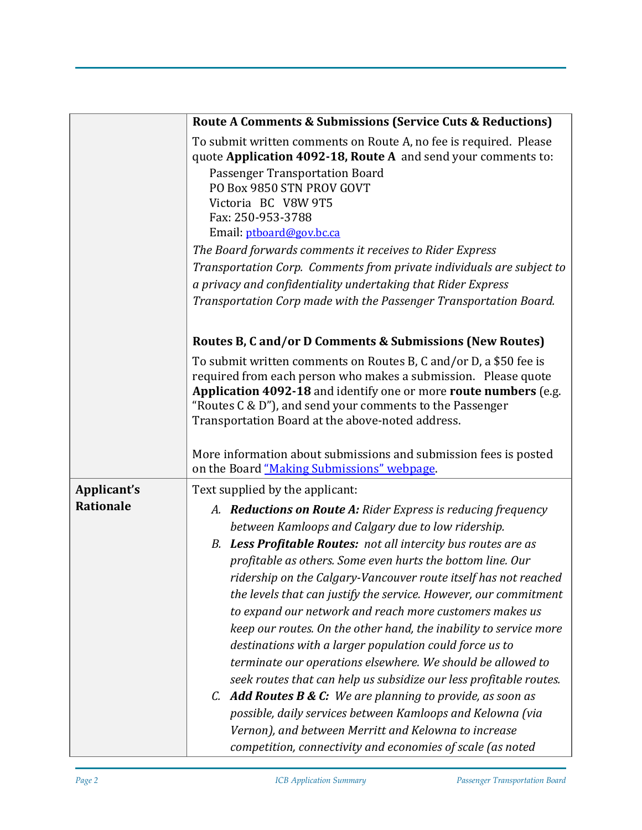|             | Route A Comments & Submissions (Service Cuts & Reductions)                                                                                                                                                                                                                                                                                                                                                                                                                                                                                                                                                                                                                                                                                                                                                                                                                                                         |  |  |  |  |
|-------------|--------------------------------------------------------------------------------------------------------------------------------------------------------------------------------------------------------------------------------------------------------------------------------------------------------------------------------------------------------------------------------------------------------------------------------------------------------------------------------------------------------------------------------------------------------------------------------------------------------------------------------------------------------------------------------------------------------------------------------------------------------------------------------------------------------------------------------------------------------------------------------------------------------------------|--|--|--|--|
|             | To submit written comments on Route A, no fee is required. Please<br>quote Application 4092-18, Route A and send your comments to:<br>Passenger Transportation Board<br>PO Box 9850 STN PROV GOVT<br>Victoria BC V8W 9T5<br>Fax: 250-953-3788<br>Email: ptboard@gov.bc.ca<br>The Board forwards comments it receives to Rider Express<br>Transportation Corp. Comments from private individuals are subject to<br>a privacy and confidentiality undertaking that Rider Express<br>Transportation Corp made with the Passenger Transportation Board.                                                                                                                                                                                                                                                                                                                                                                |  |  |  |  |
|             | Routes B, C and/or D Comments & Submissions (New Routes)                                                                                                                                                                                                                                                                                                                                                                                                                                                                                                                                                                                                                                                                                                                                                                                                                                                           |  |  |  |  |
|             | To submit written comments on Routes B, C and/or D, a \$50 fee is<br>required from each person who makes a submission. Please quote<br>Application 4092-18 and identify one or more route numbers (e.g.<br>"Routes C & D"), and send your comments to the Passenger<br>Transportation Board at the above-noted address.                                                                                                                                                                                                                                                                                                                                                                                                                                                                                                                                                                                            |  |  |  |  |
|             | More information about submissions and submission fees is posted<br>on the Board "Making Submissions" webpage.                                                                                                                                                                                                                                                                                                                                                                                                                                                                                                                                                                                                                                                                                                                                                                                                     |  |  |  |  |
| Applicant's | Text supplied by the applicant:                                                                                                                                                                                                                                                                                                                                                                                                                                                                                                                                                                                                                                                                                                                                                                                                                                                                                    |  |  |  |  |
| Rationale   | A. Reductions on Route A: Rider Express is reducing frequency<br>between Kamloops and Calgary due to low ridership.<br>B. Less Profitable Routes: not all intercity bus routes are as<br>profitable as others. Some even hurts the bottom line. Our<br>ridership on the Calgary-Vancouver route itself has not reached<br>the levels that can justify the service. However, our commitment<br>to expand our network and reach more customers makes us<br>keep our routes. On the other hand, the inability to service more<br>destinations with a larger population could force us to<br>terminate our operations elsewhere. We should be allowed to<br>seek routes that can help us subsidize our less profitable routes.<br>C. Add Routes $B & C$ : We are planning to provide, as soon as<br>possible, daily services between Kamloops and Kelowna (via<br>Vernon), and between Merritt and Kelowna to increase |  |  |  |  |
|             | competition, connectivity and economies of scale (as noted                                                                                                                                                                                                                                                                                                                                                                                                                                                                                                                                                                                                                                                                                                                                                                                                                                                         |  |  |  |  |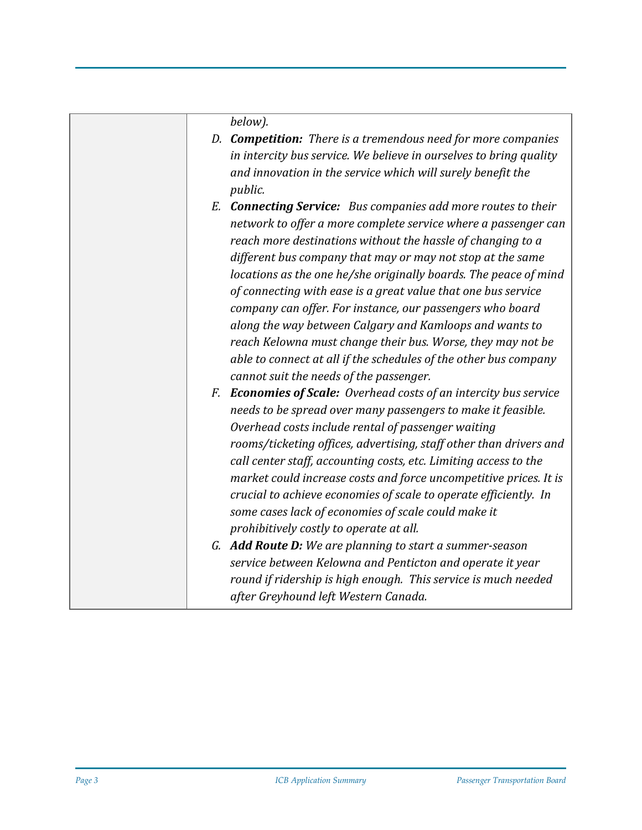*below).*

- *D. Competition: There is a tremendous need for more companies in intercity bus service. We believe in ourselves to bring quality and innovation in the service which will surely benefit the public.*
- *E. Connecting Service: Bus companies add more routes to their network to offer a more complete service where a passenger can reach more destinations without the hassle of changing to a different bus company that may or may not stop at the same locations as the one he/she originally boards. The peace of mind of connecting with ease is a great value that one bus service company can offer. For instance, our passengers who board along the way between Calgary and Kamloops and wants to reach Kelowna must change their bus. Worse, they may not be able to connect at all if the schedules of the other bus company cannot suit the needs of the passenger.*
- *F. Economies of Scale: Overhead costs of an intercity bus service needs to be spread over many passengers to make it feasible. Overhead costs include rental of passenger waiting rooms/ticketing offices, advertising, staff other than drivers and call center staff, accounting costs, etc. Limiting access to the market could increase costs and force uncompetitive prices. It is crucial to achieve economies of scale to operate efficiently. In some cases lack of economies of scale could make it prohibitively costly to operate at all.*
- *G. Add Route D: We are planning to start a summer-season service between Kelowna and Penticton and operate it year round if ridership is high enough. This service is much needed after Greyhound left Western Canada.*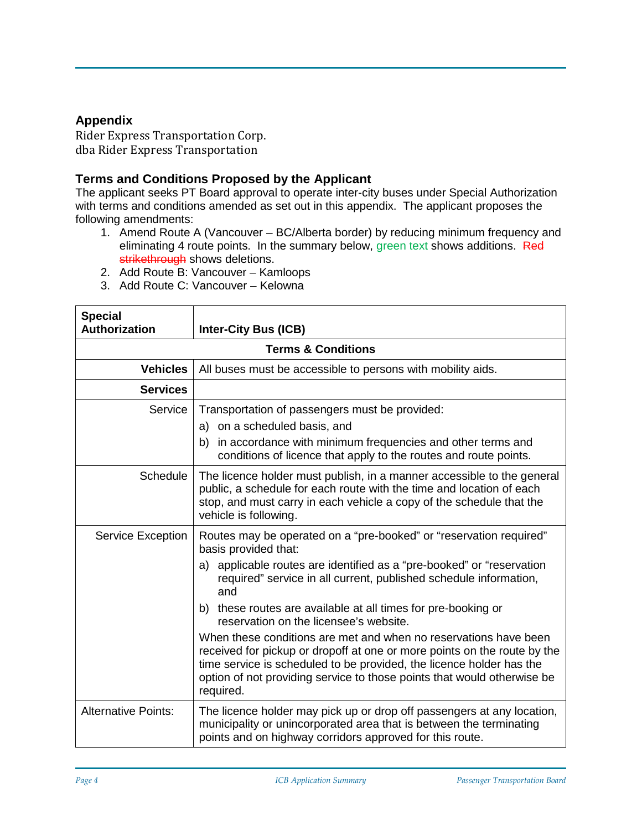## **Appendix**

Rider Express Transportation Corp. dba Rider Express Transportation

## **Terms and Conditions Proposed by the Applicant**

The applicant seeks PT Board approval to operate inter-city buses under Special Authorization with terms and conditions amended as set out in this appendix. The applicant proposes the following amendments:

- 1. Amend Route A (Vancouver BC/Alberta border) by reducing minimum frequency and eliminating 4 route points. In the summary below, green text shows additions. Red strikethrough shows deletions.
- 2. Add Route B: Vancouver Kamloops
- 3. Add Route C: Vancouver Kelowna

| <b>Special</b><br><b>Authorization</b> | <b>Inter-City Bus (ICB)</b>                                                                                                                                                                                                                                                                                  |  |  |  |
|----------------------------------------|--------------------------------------------------------------------------------------------------------------------------------------------------------------------------------------------------------------------------------------------------------------------------------------------------------------|--|--|--|
| <b>Terms &amp; Conditions</b>          |                                                                                                                                                                                                                                                                                                              |  |  |  |
| <b>Vehicles</b>                        | All buses must be accessible to persons with mobility aids.                                                                                                                                                                                                                                                  |  |  |  |
| <b>Services</b>                        |                                                                                                                                                                                                                                                                                                              |  |  |  |
| Service                                | Transportation of passengers must be provided:                                                                                                                                                                                                                                                               |  |  |  |
|                                        | a) on a scheduled basis, and                                                                                                                                                                                                                                                                                 |  |  |  |
|                                        | in accordance with minimum frequencies and other terms and<br>b)<br>conditions of licence that apply to the routes and route points.                                                                                                                                                                         |  |  |  |
| Schedule                               | The licence holder must publish, in a manner accessible to the general<br>public, a schedule for each route with the time and location of each<br>stop, and must carry in each vehicle a copy of the schedule that the<br>vehicle is following.                                                              |  |  |  |
| <b>Service Exception</b>               | Routes may be operated on a "pre-booked" or "reservation required"<br>basis provided that:                                                                                                                                                                                                                   |  |  |  |
|                                        | a) applicable routes are identified as a "pre-booked" or "reservation<br>required" service in all current, published schedule information,<br>and                                                                                                                                                            |  |  |  |
|                                        | b) these routes are available at all times for pre-booking or<br>reservation on the licensee's website.                                                                                                                                                                                                      |  |  |  |
|                                        | When these conditions are met and when no reservations have been<br>received for pickup or dropoff at one or more points on the route by the<br>time service is scheduled to be provided, the licence holder has the<br>option of not providing service to those points that would otherwise be<br>required. |  |  |  |
| <b>Alternative Points:</b>             | The licence holder may pick up or drop off passengers at any location,<br>municipality or unincorporated area that is between the terminating<br>points and on highway corridors approved for this route.                                                                                                    |  |  |  |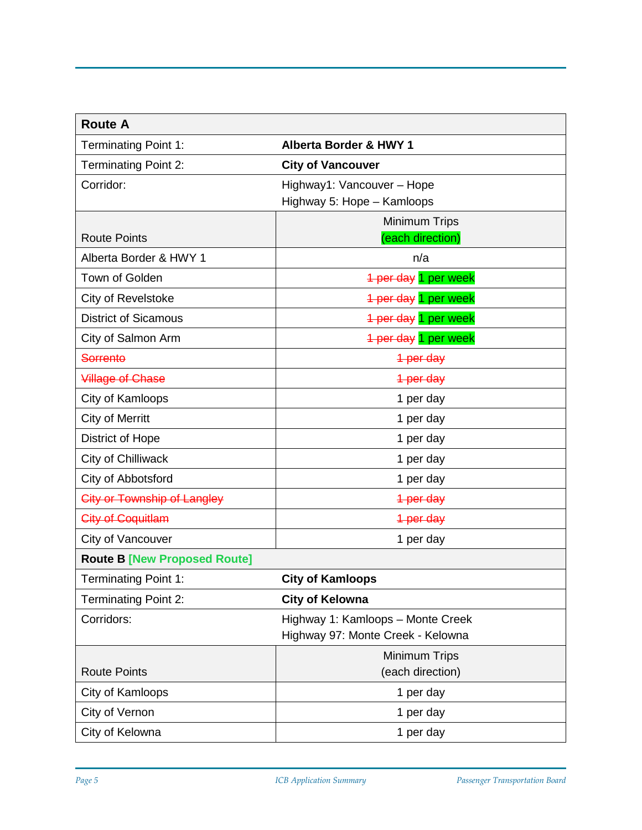| <b>Route A</b>                      |                                   |
|-------------------------------------|-----------------------------------|
| <b>Terminating Point 1:</b>         | <b>Alberta Border &amp; HWY 1</b> |
| <b>Terminating Point 2:</b>         | <b>City of Vancouver</b>          |
| Corridor:                           | Highway1: Vancouver - Hope        |
|                                     | Highway 5: Hope - Kamloops        |
|                                     | Minimum Trips                     |
| <b>Route Points</b>                 | (each direction)                  |
| Alberta Border & HWY 1              | n/a                               |
| Town of Golden                      | 1 per day 1 per week              |
| City of Revelstoke                  | 1 per day 1 per week              |
| <b>District of Sicamous</b>         | 4 per day 1 per week              |
| City of Salmon Arm                  | 1 per day 1 per week              |
| <b>Sorrento</b>                     | 1 per day                         |
| <b>Village of Chase</b>             | 1 per day                         |
| City of Kamloops                    | 1 per day                         |
| <b>City of Merritt</b>              | 1 per day                         |
| District of Hope                    | 1 per day                         |
| City of Chilliwack                  | 1 per day                         |
| City of Abbotsford                  | 1 per day                         |
| <b>City or Township of Langley</b>  | 1 per day                         |
| City of Coquitlam                   | 1 per day                         |
| City of Vancouver                   | 1 per day                         |
| <b>Route B [New Proposed Route]</b> |                                   |
| <b>Terminating Point 1:</b>         | <b>City of Kamloops</b>           |
| <b>Terminating Point 2:</b>         | <b>City of Kelowna</b>            |
| Corridors:                          | Highway 1: Kamloops - Monte Creek |
|                                     | Highway 97: Monte Creek - Kelowna |
|                                     | Minimum Trips                     |
| <b>Route Points</b>                 | (each direction)                  |
| City of Kamloops                    | 1 per day                         |
| City of Vernon                      | 1 per day                         |
| City of Kelowna                     | 1 per day                         |